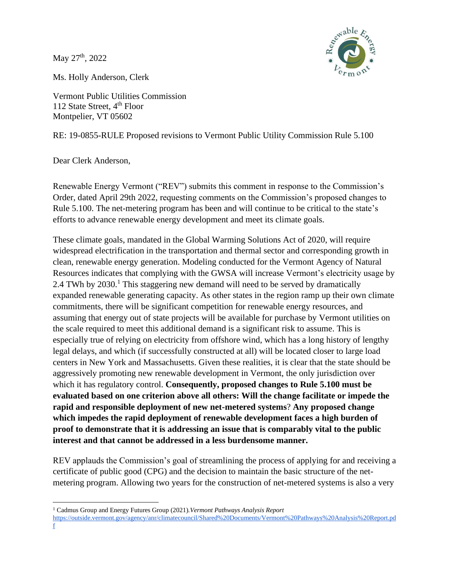May 27<sup>th</sup>, 2022



Vermont Public Utilities Commission 112 State Street, 4<sup>th</sup> Floor Montpelier, VT 05602

Ms. Holly Anderson, Clerk

RE: 19-0855-RULE Proposed revisions to Vermont Public Utility Commission Rule 5.100

Dear Clerk Anderson,

Renewable Energy Vermont ("REV") submits this comment in response to the Commission's Order, dated April 29th 2022, requesting comments on the Commission's proposed changes to Rule 5.100. The net-metering program has been and will continue to be critical to the state's efforts to advance renewable energy development and meet its climate goals.

These climate goals, mandated in the Global Warming Solutions Act of 2020, will require widespread electrification in the transportation and thermal sector and corresponding growth in clean, renewable energy generation. Modeling conducted for the Vermont Agency of Natural Resources indicates that complying with the GWSA will increase Vermont's electricity usage by 2.4 TWh by 2030.<sup>1</sup> This staggering new demand will need to be served by dramatically expanded renewable generating capacity. As other states in the region ramp up their own climate commitments, there will be significant competition for renewable energy resources, and assuming that energy out of state projects will be available for purchase by Vermont utilities on the scale required to meet this additional demand is a significant risk to assume. This is especially true of relying on electricity from offshore wind, which has a long history of lengthy legal delays, and which (if successfully constructed at all) will be located closer to large load centers in New York and Massachusetts. Given these realities, it is clear that the state should be aggressively promoting new renewable development in Vermont, the only jurisdiction over which it has regulatory control. **Consequently, proposed changes to Rule 5.100 must be evaluated based on one criterion above all others: Will the change facilitate or impede the rapid and responsible deployment of new net-metered systems**? **Any proposed change which impedes the rapid deployment of renewable development faces a high burden of proof to demonstrate that it is addressing an issue that is comparably vital to the public interest and that cannot be addressed in a less burdensome manner.**

REV applauds the Commission's goal of streamlining the process of applying for and receiving a certificate of public good (CPG) and the decision to maintain the basic structure of the netmetering program. Allowing two years for the construction of net-metered systems is also a very

[https://outside.vermont.gov/agency/anr/climatecouncil/Shared%20Documents/Vermont%20Pathways%20Analysis%20Report.pd](https://outside.vermont.gov/agency/anr/climatecouncil/Shared%20Documents/Vermont%20Pathways%20Analysis%20Report.pdf) [f](https://outside.vermont.gov/agency/anr/climatecouncil/Shared%20Documents/Vermont%20Pathways%20Analysis%20Report.pdf)

<sup>1</sup> Cadmus Group and Energy Futures Group (2021).*Vermont Pathways Analysis Report*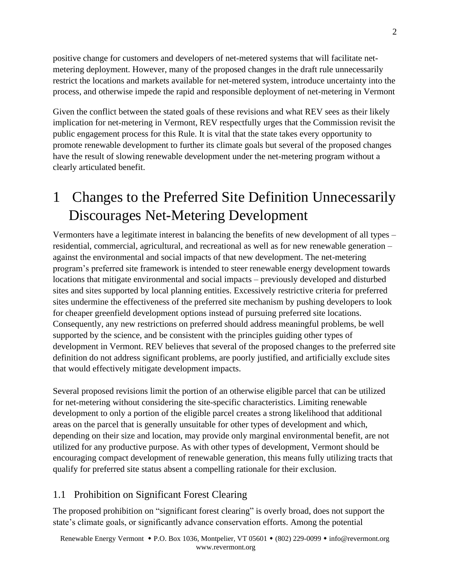positive change for customers and developers of net-metered systems that will facilitate netmetering deployment. However, many of the proposed changes in the draft rule unnecessarily restrict the locations and markets available for net-metered system, introduce uncertainty into the process, and otherwise impede the rapid and responsible deployment of net-metering in Vermont

Given the conflict between the stated goals of these revisions and what REV sees as their likely implication for net-metering in Vermont, REV respectfully urges that the Commission revisit the public engagement process for this Rule. It is vital that the state takes every opportunity to promote renewable development to further its climate goals but several of the proposed changes have the result of slowing renewable development under the net-metering program without a clearly articulated benefit.

# 1 Changes to the Preferred Site Definition Unnecessarily Discourages Net-Metering Development

Vermonters have a legitimate interest in balancing the benefits of new development of all types – residential, commercial, agricultural, and recreational as well as for new renewable generation – against the environmental and social impacts of that new development. The net-metering program's preferred site framework is intended to steer renewable energy development towards locations that mitigate environmental and social impacts – previously developed and disturbed sites and sites supported by local planning entities. Excessively restrictive criteria for preferred sites undermine the effectiveness of the preferred site mechanism by pushing developers to look for cheaper greenfield development options instead of pursuing preferred site locations. Consequently, any new restrictions on preferred should address meaningful problems, be well supported by the science, and be consistent with the principles guiding other types of development in Vermont. REV believes that several of the proposed changes to the preferred site definition do not address significant problems, are poorly justified, and artificially exclude sites that would effectively mitigate development impacts.

Several proposed revisions limit the portion of an otherwise eligible parcel that can be utilized for net-metering without considering the site-specific characteristics. Limiting renewable development to only a portion of the eligible parcel creates a strong likelihood that additional areas on the parcel that is generally unsuitable for other types of development and which, depending on their size and location, may provide only marginal environmental benefit, are not utilized for any productive purpose. As with other types of development, Vermont should be encouraging compact development of renewable generation, this means fully utilizing tracts that qualify for preferred site status absent a compelling rationale for their exclusion.

#### 1.1 Prohibition on Significant Forest Clearing

The proposed prohibition on "significant forest clearing" is overly broad, does not support the state's climate goals, or significantly advance conservation efforts. Among the potential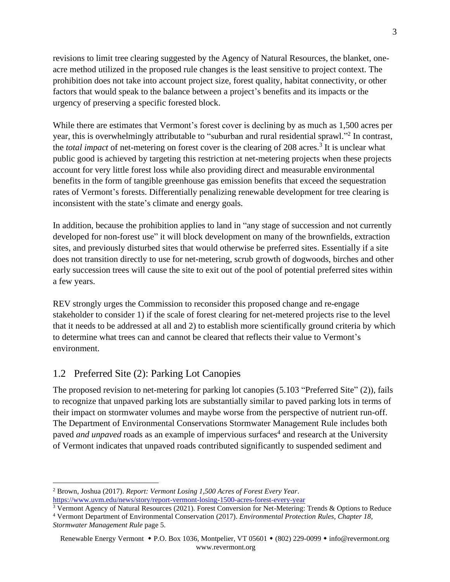revisions to limit tree clearing suggested by the Agency of Natural Resources, the blanket, oneacre method utilized in the proposed rule changes is the least sensitive to project context. The prohibition does not take into account project size, forest quality, habitat connectivity, or other factors that would speak to the balance between a project's benefits and its impacts or the urgency of preserving a specific forested block.

While there are estimates that Vermont's forest cover is declining by as much as 1,500 acres per year, this is overwhelmingly attributable to "suburban and rural residential sprawl."<sup>2</sup> In contrast, the *total impact* of net-metering on forest cover is the clearing of 208 acres.<sup>3</sup> It is unclear what public good is achieved by targeting this restriction at net-metering projects when these projects account for very little forest loss while also providing direct and measurable environmental benefits in the form of tangible greenhouse gas emission benefits that exceed the sequestration rates of Vermont's forests. Differentially penalizing renewable development for tree clearing is inconsistent with the state's climate and energy goals.

In addition, because the prohibition applies to land in "any stage of succession and not currently developed for non-forest use" it will block development on many of the brownfields, extraction sites, and previously disturbed sites that would otherwise be preferred sites. Essentially if a site does not transition directly to use for net-metering, scrub growth of dogwoods, birches and other early succession trees will cause the site to exit out of the pool of potential preferred sites within a few years.

REV strongly urges the Commission to reconsider this proposed change and re-engage stakeholder to consider 1) if the scale of forest clearing for net-metered projects rise to the level that it needs to be addressed at all and 2) to establish more scientifically ground criteria by which to determine what trees can and cannot be cleared that reflects their value to Vermont's environment.

#### 1.2 Preferred Site (2): Parking Lot Canopies

The proposed revision to net-metering for parking lot canopies (5.103 "Preferred Site" (2)), fails to recognize that unpaved parking lots are substantially similar to paved parking lots in terms of their impact on stormwater volumes and maybe worse from the perspective of nutrient run-off. The Department of Environmental Conservations Stormwater Management Rule includes both paved *and unpaved* roads as an example of impervious surfaces<sup>4</sup> and research at the University of Vermont indicates that unpaved roads contributed significantly to suspended sediment and

<sup>2</sup> Brown, Joshua (2017). *Report: Vermont Losing 1,500 Acres of Forest Every Year*. <https://www.uvm.edu/news/story/report-vermont-losing-1500-acres-forest-every-year>

<sup>3</sup> Vermont Agency of Natural Resources (2021). Forest Conversion for Net-Metering: Trends & Options to Reduce

<sup>4</sup> Vermont Department of Environmental Conservation (2017). *Environmental Protection Rules, Chapter 18, Stormwater Management Rule* page 5.

Renewable Energy Vermont • P.O. Box 1036, Montpelier, VT 05601 • (802) 229-0099 • info@revermont.org www.revermont.org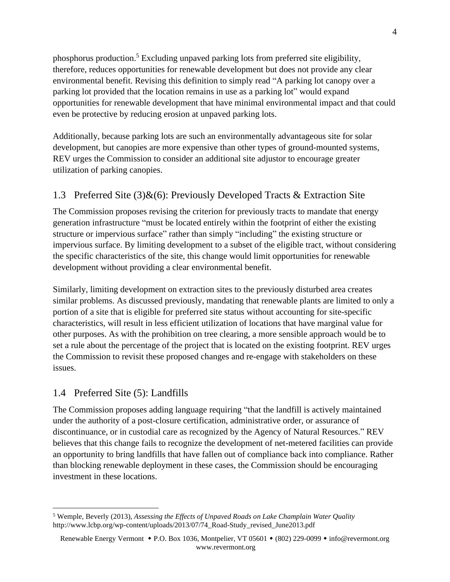phosphorus production.<sup>5</sup> Excluding unpaved parking lots from preferred site eligibility, therefore, reduces opportunities for renewable development but does not provide any clear environmental benefit. Revising this definition to simply read "A parking lot canopy over a parking lot provided that the location remains in use as a parking lot" would expand opportunities for renewable development that have minimal environmental impact and that could even be protective by reducing erosion at unpaved parking lots.

Additionally, because parking lots are such an environmentally advantageous site for solar development, but canopies are more expensive than other types of ground-mounted systems, REV urges the Commission to consider an additional site adjustor to encourage greater utilization of parking canopies.

#### 1.3 Preferred Site (3)&(6): Previously Developed Tracts & Extraction Site

The Commission proposes revising the criterion for previously tracts to mandate that energy generation infrastructure "must be located entirely within the footprint of either the existing structure or impervious surface" rather than simply "including" the existing structure or impervious surface. By limiting development to a subset of the eligible tract, without considering the specific characteristics of the site, this change would limit opportunities for renewable development without providing a clear environmental benefit.

Similarly, limiting development on extraction sites to the previously disturbed area creates similar problems. As discussed previously, mandating that renewable plants are limited to only a portion of a site that is eligible for preferred site status without accounting for site-specific characteristics, will result in less efficient utilization of locations that have marginal value for other purposes. As with the prohibition on tree clearing, a more sensible approach would be to set a rule about the percentage of the project that is located on the existing footprint. REV urges the Commission to revisit these proposed changes and re-engage with stakeholders on these issues.

#### 1.4 Preferred Site (5): Landfills

The Commission proposes adding language requiring "that the landfill is actively maintained under the authority of a post-closure certification, administrative order, or assurance of discontinuance, or in custodial care as recognized by the Agency of Natural Resources." REV believes that this change fails to recognize the development of net-metered facilities can provide an opportunity to bring landfills that have fallen out of compliance back into compliance. Rather than blocking renewable deployment in these cases, the Commission should be encouraging investment in these locations.

<sup>5</sup> Wemple, Beverly (2013), *Assessing the Effects of Unpaved Roads on Lake Champlain Water Quality* http://www.lcbp.org/wp-content/uploads/2013/07/74\_Road-Study\_revised\_June2013.pdf

Renewable Energy Vermont • P.O. Box 1036, Montpelier, VT 05601 • (802) 229-0099 • info@revermont.org www.revermont.org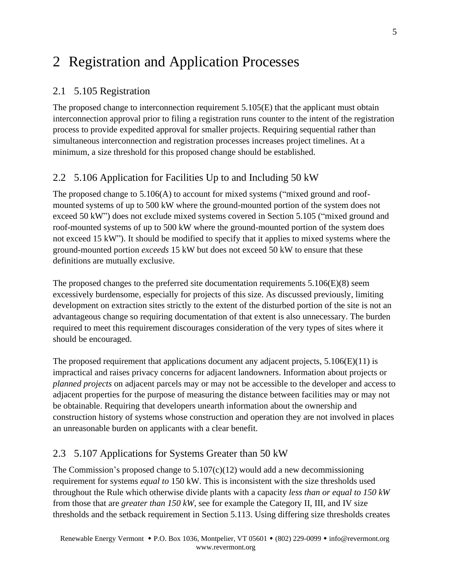## 2 Registration and Application Processes

### 2.1 5.105 Registration

The proposed change to interconnection requirement 5.105(E) that the applicant must obtain interconnection approval prior to filing a registration runs counter to the intent of the registration process to provide expedited approval for smaller projects. Requiring sequential rather than simultaneous interconnection and registration processes increases project timelines. At a minimum, a size threshold for this proposed change should be established.

## 2.2 5.106 Application for Facilities Up to and Including 50 kW

The proposed change to 5.106(A) to account for mixed systems ("mixed ground and roofmounted systems of up to 500 kW where the ground-mounted portion of the system does not exceed 50 kW") does not exclude mixed systems covered in Section 5.105 ("mixed ground and roof-mounted systems of up to 500 kW where the ground-mounted portion of the system does not exceed 15 kW"). It should be modified to specify that it applies to mixed systems where the ground-mounted portion *exceeds* 15 kW but does not exceed 50 kW to ensure that these definitions are mutually exclusive.

The proposed changes to the preferred site documentation requirements  $5.106(E)(8)$  seem excessively burdensome, especially for projects of this size. As discussed previously, limiting development on extraction sites strictly to the extent of the disturbed portion of the site is not an advantageous change so requiring documentation of that extent is also unnecessary. The burden required to meet this requirement discourages consideration of the very types of sites where it should be encouraged.

The proposed requirement that applications document any adjacent projects,  $5.106(E)(11)$  is impractical and raises privacy concerns for adjacent landowners. Information about projects or *planned projects* on adjacent parcels may or may not be accessible to the developer and access to adjacent properties for the purpose of measuring the distance between facilities may or may not be obtainable. Requiring that developers unearth information about the ownership and construction history of systems whose construction and operation they are not involved in places an unreasonable burden on applicants with a clear benefit.

## 2.3 5.107 Applications for Systems Greater than 50 kW

The Commission's proposed change to  $5.107(c)(12)$  would add a new decommissioning requirement for systems *equal to* 150 kW. This is inconsistent with the size thresholds used throughout the Rule which otherwise divide plants with a capacity *less than or equal to 150 kW* from those that are *greater than 150 kW*, see for example the Category II, III, and IV size thresholds and the setback requirement in Section 5.113. Using differing size thresholds creates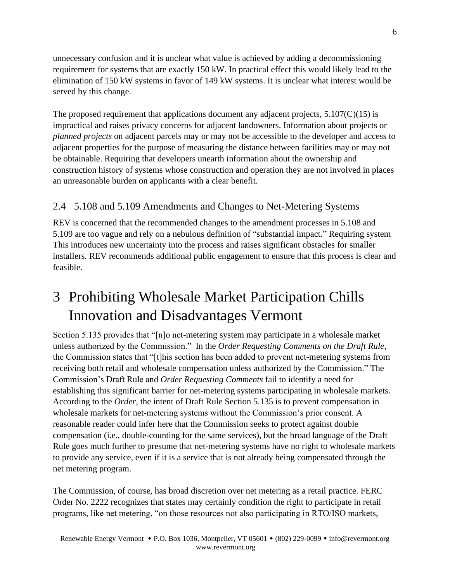unnecessary confusion and it is unclear what value is achieved by adding a decommissioning requirement for systems that are exactly 150 kW. In practical effect this would likely lead to the elimination of 150 kW systems in favor of 149 kW systems. It is unclear what interest would be served by this change.

The proposed requirement that applications document any adjacent projects,  $5.107(C)(15)$  is impractical and raises privacy concerns for adjacent landowners. Information about projects or *planned projects* on adjacent parcels may or may not be accessible to the developer and access to adjacent properties for the purpose of measuring the distance between facilities may or may not be obtainable. Requiring that developers unearth information about the ownership and construction history of systems whose construction and operation they are not involved in places an unreasonable burden on applicants with a clear benefit.

## 2.4 5.108 and 5.109 Amendments and Changes to Net-Metering Systems

REV is concerned that the recommended changes to the amendment processes in 5.108 and 5.109 are too vague and rely on a nebulous definition of "substantial impact." Requiring system This introduces new uncertainty into the process and raises significant obstacles for smaller installers. REV recommends additional public engagement to ensure that this process is clear and feasible.

# 3 Prohibiting Wholesale Market Participation Chills Innovation and Disadvantages Vermont

Section 5.135 provides that "[n]o net-metering system may participate in a wholesale market unless authorized by the Commission." In the *Order Requesting Comments on the Draft Rule*, the Commission states that "[t]his section has been added to prevent net-metering systems from receiving both retail and wholesale compensation unless authorized by the Commission." The Commission's Draft Rule and *Order Requesting Comments* fail to identify a need for establishing this significant barrier for net-metering systems participating in wholesale markets. According to the *Order*, the intent of Draft Rule Section 5.135 is to prevent compensation in wholesale markets for net-metering systems without the Commission's prior consent. A reasonable reader could infer here that the Commission seeks to protect against double compensation (i.e., double-counting for the same services), but the broad language of the Draft Rule goes much further to presume that net-metering systems have no right to wholesale markets to provide any service, even if it is a service that is not already being compensated through the net metering program.

The Commission, of course, has broad discretion over net metering as a retail practice. FERC Order No. 2222 recognizes that states may certainly condition the right to participate in retail programs, like net metering, "on those resources not also participating in RTO/ISO markets,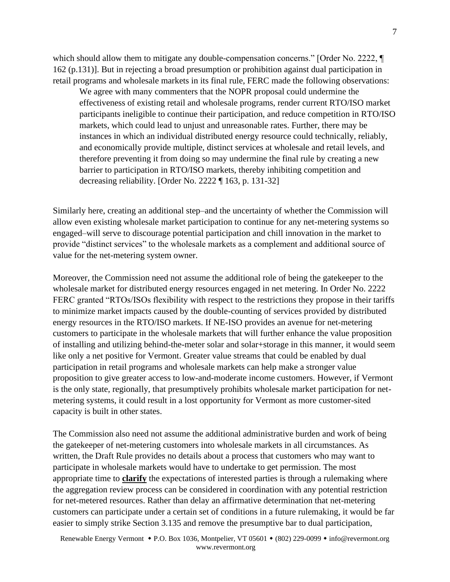which should allow them to mitigate any double-compensation concerns." [Order No. 2222, ¶ 162 (p.131)]. But in rejecting a broad presumption or prohibition against dual participation in retail programs and wholesale markets in its final rule, FERC made the following observations:

We agree with many commenters that the NOPR proposal could undermine the effectiveness of existing retail and wholesale programs, render current RTO/ISO market participants ineligible to continue their participation, and reduce competition in RTO/ISO markets, which could lead to unjust and unreasonable rates. Further, there may be instances in which an individual distributed energy resource could technically, reliably, and economically provide multiple, distinct services at wholesale and retail levels, and therefore preventing it from doing so may undermine the final rule by creating a new barrier to participation in RTO/ISO markets, thereby inhibiting competition and decreasing reliability. [Order No. 2222 ¶ 163, p. 131-32]

Similarly here, creating an additional step–and the uncertainty of whether the Commission will allow even existing wholesale market participation to continue for any net-metering systems so engaged–will serve to discourage potential participation and chill innovation in the market to provide "distinct services" to the wholesale markets as a complement and additional source of value for the net-metering system owner.

Moreover, the Commission need not assume the additional role of being the gatekeeper to the wholesale market for distributed energy resources engaged in net metering. In Order No. 2222 FERC granted "RTOs/ISOs flexibility with respect to the restrictions they propose in their tariffs to minimize market impacts caused by the double-counting of services provided by distributed energy resources in the RTO/ISO markets. If NE-ISO provides an avenue for net-metering customers to participate in the wholesale markets that will further enhance the value proposition of installing and utilizing behind-the-meter solar and solar+storage in this manner, it would seem like only a net positive for Vermont. Greater value streams that could be enabled by dual participation in retail programs and wholesale markets can help make a stronger value proposition to give greater access to low-and-moderate income customers. However, if Vermont is the only state, regionally, that presumptively prohibits wholesale market participation for netmetering systems, it could result in a lost opportunity for Vermont as more customer-sited capacity is built in other states.

The Commission also need not assume the additional administrative burden and work of being the gatekeeper of net-metering customers into wholesale markets in all circumstances. As written, the Draft Rule provides no details about a process that customers who may want to participate in wholesale markets would have to undertake to get permission. The most appropriate time to **clarify** the expectations of interested parties is through a rulemaking where the aggregation review process can be considered in coordination with any potential restriction for net-metered resources. Rather than delay an affirmative determination that net-metering customers can participate under a certain set of conditions in a future rulemaking, it would be far easier to simply strike Section 3.135 and remove the presumptive bar to dual participation,

Renewable Energy Vermont • P.O. Box 1036, Montpelier, VT 05601 • (802) 229-0099 • info@revermont.org www.revermont.org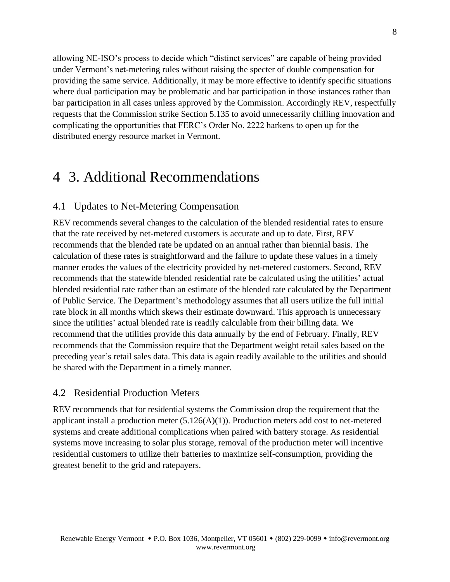allowing NE-ISO's process to decide which "distinct services" are capable of being provided under Vermont's net-metering rules without raising the specter of double compensation for providing the same service. Additionally, it may be more effective to identify specific situations where dual participation may be problematic and bar participation in those instances rather than bar participation in all cases unless approved by the Commission. Accordingly REV, respectfully requests that the Commission strike Section 5.135 to avoid unnecessarily chilling innovation and complicating the opportunities that FERC's Order No. 2222 harkens to open up for the distributed energy resource market in Vermont.

## 4 3. Additional Recommendations

#### 4.1 Updates to Net-Metering Compensation

REV recommends several changes to the calculation of the blended residential rates to ensure that the rate received by net-metered customers is accurate and up to date. First, REV recommends that the blended rate be updated on an annual rather than biennial basis. The calculation of these rates is straightforward and the failure to update these values in a timely manner erodes the values of the electricity provided by net-metered customers. Second, REV recommends that the statewide blended residential rate be calculated using the utilities' actual blended residential rate rather than an estimate of the blended rate calculated by the Department of Public Service. The Department's methodology assumes that all users utilize the full initial rate block in all months which skews their estimate downward. This approach is unnecessary since the utilities' actual blended rate is readily calculable from their billing data. We recommend that the utilities provide this data annually by the end of February. Finally, REV recommends that the Commission require that the Department weight retail sales based on the preceding year's retail sales data. This data is again readily available to the utilities and should be shared with the Department in a timely manner.

#### 4.2 Residential Production Meters

REV recommends that for residential systems the Commission drop the requirement that the applicant install a production meter  $(5.126(A)(1))$ . Production meters add cost to net-metered systems and create additional complications when paired with battery storage. As residential systems move increasing to solar plus storage, removal of the production meter will incentive residential customers to utilize their batteries to maximize self-consumption, providing the greatest benefit to the grid and ratepayers.